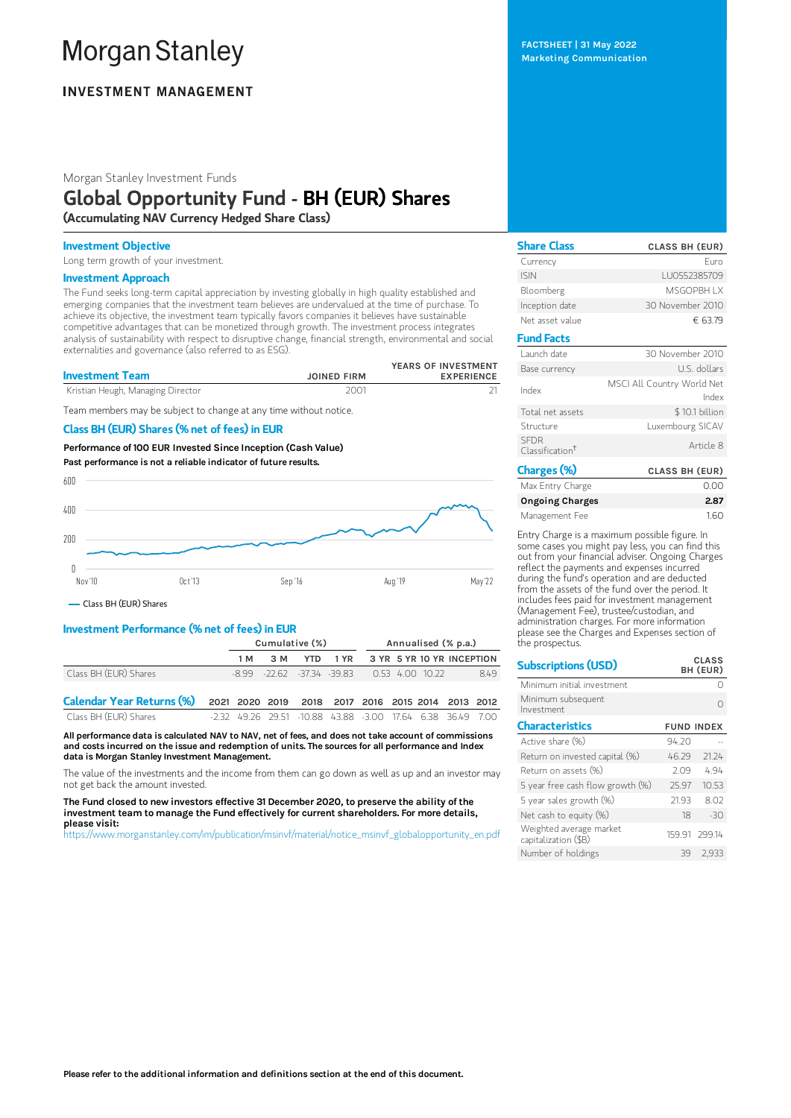# **Morgan Stanley**

## **INVESTMENT MANAGEMENT**

Morgan Stanley Investment Funds

## Global Opportunity Fund - BH (EUR) Shares

(Accumulating NAV Currency Hedged Share Class)

#### Investment Objective

Long term growth of your investment.

#### Investment Approach

The Fund seeks long-term capital appreciation by investing globally in high quality established and emerging companies that the investment team believes are undervalued at the time of purchase. To achieve its objective, the investment team typically favors companies it believes have sustainable competitive advantages that can be monetized through growth. The investment process integrates analysis of sustainability with respect to disruptive change, financial strength, environmental and social externalities and governance (also referred to as ESG).

| <b>Investment Team</b>            | <b>JOINED FIRM</b> | YEARS OF INVESTMENT<br><b>EXPERIENCE</b> |
|-----------------------------------|--------------------|------------------------------------------|
| Kristian Heugh, Managing Director | 2001               |                                          |

Team members may be subject to change at any time without notice.

#### Class BH (EUR) Shares (% net of fees) in EUR

Performance of100 EUR Invested Since Inception (Cash Value) Past performance is not a reliable indicator of future results.



Class BH (EUR) Shares

#### Investment Performance (% net of fees) in EUR

|                                                                             | Cumulative (%) |                                                    |  | Annualised (% p.a.)                |  |  |      |
|-----------------------------------------------------------------------------|----------------|----------------------------------------------------|--|------------------------------------|--|--|------|
|                                                                             | 1 M            | 3 M                                                |  | YTD 1 YR 3 YR 5 YR 10 YR INCEPTION |  |  |      |
| Class BH (EUR) Shares                                                       |                | $-8.99$ $-22.62$ $-37.34$ $-39.83$ 0.53 4.00 10.22 |  |                                    |  |  | 8.49 |
| Calendar Year Returns (%) 2021 2020 2019 2018 2017 2016 2015 2014 2013 2012 |                |                                                    |  |                                    |  |  |      |

Class BH (EUR) Shares -2.32 49.26 29.51 -10.88 43.88 -3.00 17.64 6.38 36.49 7.00

All performance data is calculated NAV to NAV, net of fees, and does not take account of commissions and costs incurred on the issue and redemption of units. The sources for all performance and Index data is Morgan Stanley Investment Management.

The value of the investments and the income from them can go down as well as up and an investor may not get back the amount invested.

The Fund closed to new investors effective 31 December 2020, to preserve the ability of the investment team to manage the Fund effectively for current shareholders. For more details, please visit:

[https://www.morganstanley.com/im/publication/msinvf/material/notice\\_msinvf\\_globalopportunity\\_en.pdf](https://www.morganstanley.com/im/publication/msinvf/material/notice_msinvf_globalopportunity_en.pdf)

FACTSHEET | 31 May 2022 Marketing Communication

| <b>Share Class</b>                         | <b>CLASS BH (EUR)</b>               |
|--------------------------------------------|-------------------------------------|
| Currency                                   | Furo                                |
| <b>ISIN</b>                                | LU0552385709                        |
| Bloomberg                                  | <b>MSGOPBH IX</b>                   |
| Inception date                             | 30 November 2010                    |
| Net asset value                            | € 63.79                             |
| <b>Fund Facts</b>                          |                                     |
| Launch date                                | 30 November 2010                    |
| Base currency                              | U.S. dollars                        |
| Index                                      | MSCI All Country World Net<br>Index |
| Total net assets                           | \$10.1 billion                      |
| Structure                                  | Luxembourg SICAV                    |
| <b>SFDR</b><br>Classification <sup>+</sup> | Article 8                           |
| Charges (%)                                | <b>CLASS BH (EUR)</b>               |

| Max Entry Charge | 0.00 |
|------------------|------|
| Ongoing Charges  | 2.87 |
| Management Fee   | 1.60 |

Entry Charge is a maximum possible figure. In some cases you might pay less, you can find this out from your financial adviser. Ongoing Charges reflect the payments and expenses incurred during the fund's operation and are deducted from the assets of the fund over the period. It includes fees paid for investment management (Management Fee), trustee/custodian, and administration charges. For more information please see the Charges and Expenses section of the prospectus.

 $\overline{a}$ .  $\overline{a}$ 

| <b>Subscriptions (USD)</b>                      |                   | <u>u ass</u><br>BH (EUR) |
|-------------------------------------------------|-------------------|--------------------------|
| Minimum initial investment                      |                   |                          |
| Minimum subsequent<br>Investment                |                   | ∩                        |
| <b>Characteristics</b>                          | <b>FUND INDEX</b> |                          |
| Active share (%)                                | 94.20             |                          |
| Return on invested capital (%)                  | 46.29             | 21.24                    |
| Return on assets (%)                            | 2.09              | 4.94                     |
| 5 year free cash flow growth (%)                | 25.97             | 10.53                    |
| 5 year sales growth (%)                         | 21.93             | 8.02                     |
| Net cash to equity $(\%)$                       | 18                | $-30$                    |
| Weighted average market<br>capitalization (\$B) |                   | 159.91 299.14            |
| Number of holdings                              | 39                | 2.933                    |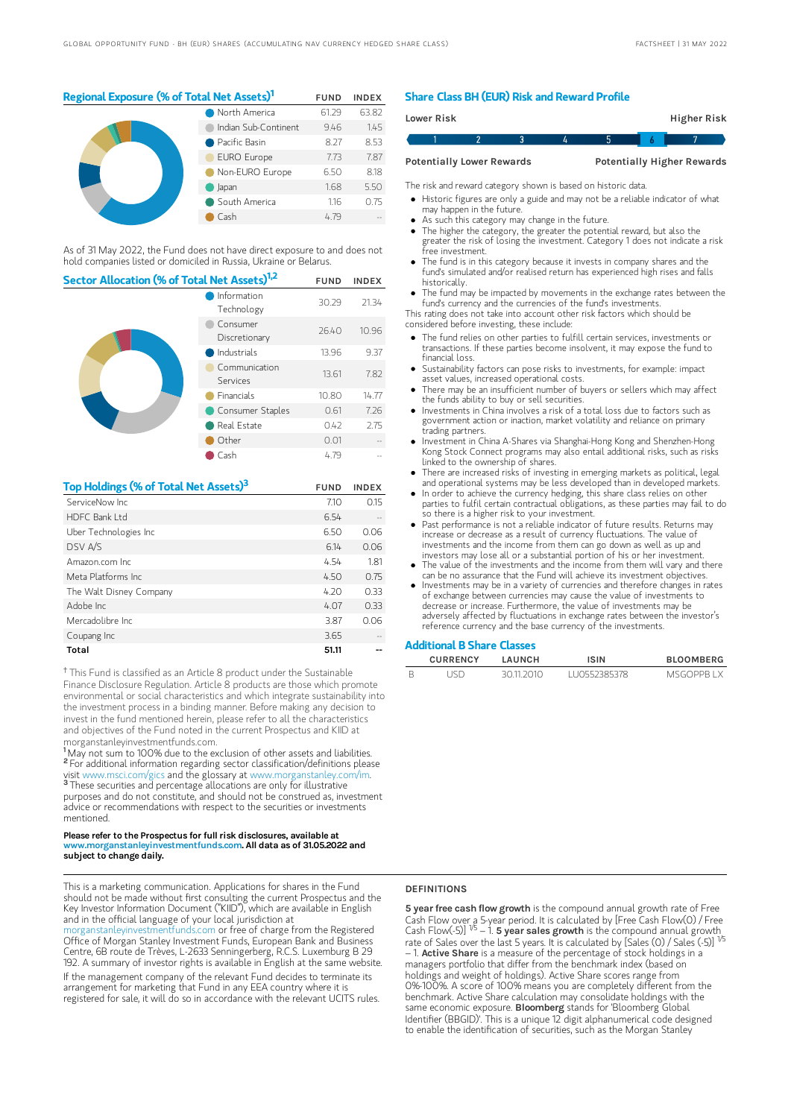### Regional Exposure (% of Total Net Assets)<sup>1</sup> FUND INDEX

| North America        | 61.29 | 63.82 |
|----------------------|-------|-------|
| Indian Sub-Continent | 9.46  | 1.45  |
| Pacific Basin        | 8.27  | 8.53  |
| <b>EURO Europe</b>   | 7.73  | 7.87  |
| Non-EURO Europe      | 6.50  | 8.18  |
| Japan                | 1.68  | 5.50  |
| South America        | 1.16  | 0.75  |
| Cash                 | 4.79  |       |

As of 31 May 2022, the Fund does not have direct exposure to and does not hold companies listed or domiciled in Russia, Ukraine or Belarus.

| Sector Allocation (% of Total Net Assets) <sup>1,2</sup> |                           |       | <b>INDEX</b> |
|----------------------------------------------------------|---------------------------|-------|--------------|
|                                                          | 30.29                     | 21.34 |              |
|                                                          | Consumer<br>Discretionary | 26.40 | 10.96        |
|                                                          | Industrials               | 13.96 | 9.37         |
|                                                          | Communication<br>Services | 13.61 | 7.82         |
|                                                          | <b>Financials</b>         | 10.80 | 14.77        |
|                                                          | Consumer Staples          | 0.61  | 7.26         |
|                                                          | Real Estate               | 0.42  | 2.75         |
|                                                          | Other                     | 0.01  |              |
|                                                          | Cash                      | 4.79  |              |

| Top Holdings (% of Total Net Assets) <sup>3</sup> | <b>FUND</b> | <b>INDEX</b> |
|---------------------------------------------------|-------------|--------------|
| ServiceNow Inc.                                   | 7.10        | 0.15         |
| HDFC Bank I td                                    | 6.54        |              |
| Uber Technologies Inc                             | 6.50        | 0.06         |
| DSV A/S                                           | 6.14        | 0.06         |
| Amazon.com Inc.                                   | 4.54        | 1.81         |
| Meta Platforms Inc.                               | 4.50        | 0.75         |
| The Walt Disney Company                           | 4.20        | 0.33         |
| Adobe Inc.                                        | 4.07        | 0.33         |
| Mercadolibre Inc.                                 | 3.87        | 0.06         |
| Coupang Inc                                       | 3.65        |              |
| Total                                             | 51.11       |              |

<sup>†</sup> This Fund is classified as an Article 8 product under the Sustainable Finance Disclosure Regulation. Article 8 products are those which promote environmental or social characteristics and which integrate sustainability into the investment process in a binding manner. Before making any decision to invest in the fund mentioned herein, please refer to all the characteristics and objectives of the Fund noted in the current Prospectus and KIID at morganstanleyinvestmentfunds.com.

<sup>1</sup>May not sum to 100% due to the exclusion of other assets and liabilities. <sup>2</sup> For additional information regarding sector classification/definitions please visit www.msci.com/gics and the glossary at www.morganstanley.com/im. <sup>3</sup> These securities and percentage allocations are only for illustrative purposes and do not constitute, and should not be construed as, investment advice or recommendations with respect to the securities or investments mentioned.

#### Please refer to the Prospectus for full risk disclosures, available at www.morganstanleyinvestmentfunds.com. All data as of 31.05.2022 and subject to change daily.

This is a marketing communication. Applications for shares in the Fund should not be made without first consulting the current Prospectus and the Key Investor Information Document ("KIID"), which are available in English and in the official language of your local jurisdiction at

organstanleyinvestmentfunds.com or free of charge from the Registered Office of Morgan Stanley Investment Funds, European Bank and Business Centre, 6B route de Trèves, L-2633 Senningerberg, R.C.S. Luxemburg B 29 192. A summary of investor rights is available in English at the same website.

If the management company of the relevant Fund decides to terminate its arrangement for marketing that Fund in any EEA country where it is registered for sale, it will do so in accordance with the relevant UCITS rules.

#### Share Class BH (EUR) Risk and Reward Profile

| Lower Risk |                                  |  |  | Higher Risk                       |  |
|------------|----------------------------------|--|--|-----------------------------------|--|
|            |                                  |  |  |                                   |  |
|            | <b>Potentially Lower Rewards</b> |  |  | <b>Potentially Higher Rewards</b> |  |

The risk and reward category shown is based on historic data.

Historic figures are only a guide and may not be a reliable indicator of what

- may happen in the future. As such this category may change in the future.
- The higher the category, the greater the potential reward, but also the
- greater the risk of losing the investment. Category 1 does not indicate a risk free investment.
- The fund is in this category because it invests in company shares and the fund's simulated and/or realised return has experienced high rises and falls historically.
- The fund may be impacted by movements in the exchange rates between the fund's currency and the currencies of the fund's investments.

This rating does not take into account other risk factors which should be considered before investing, these include:

- The fund relies on other parties to fulfill certain services, investments or transactions. If these parties become insolvent, it may expose the fund to financial loss.
- Sustainability factors can pose risks to investments, for example: impact asset values, increased operational costs.
- There may be an insufficient number of buyers or sellers which may affect the funds ability to buy or sell securities.
- Investments in China involves a risk of a total loss due to factors such as government action or inaction, market volatility and reliance on primary trading partners.
- Investment in China A-Shares via Shanghai-Hong Kong and Shenzhen-Hong Kong Stock Connect programs may also entail additional risks, such as risks linked to the ownership of shares.
- There are increased risks of investing in emerging markets as political, legal and operational systems may be less developed than in developed markets.
- In order to achieve the currency hedging, this share class relies on other parties to fulfil certain contractual obligations, as these parties may fail to do so there is a higher risk to your investment.
- Past performance is not a reliable indicator of future results. Returns may increase or decrease as a result of currency fluctuations. The value of investments and the income from them can go down as well as up and investors may lose all or a substantial portion of his or her investment.
- The value of the investments and the income from them will vary and there can be no assurance that the Fund will achieve its investment objectives.
- Investments may be in a variety of currencies and therefore changes in rates of exchange between currencies may cause the value of investments to decrease or increase. Furthermore, the value of investments may be adversely affected by fluctuations in exchange rates between the investor's reference currency and the base currency of the investments.

#### Additional B Share Classes

| <b>CURRENCY</b> | LAUNCH   | <b>ISIN</b>   | <b>BLOOMBERG</b> |
|-----------------|----------|---------------|------------------|
| LISD            | 30112010 | 1110552385378 | MSGOPPR I X      |

#### DEFINITIONS

5 year free cash flow growth is the compound annual growth rate of Free Cash Flow over a 5-year period. It is calculated by [Free Cash Flow(0) / Free<br>Cash Flow(-5)] <sup>1/5</sup> – 1. **5 year saIes growth** is the compound annual growth\_ rate of Sales over the last 5 years. It is calculated by [Sales (0) / Sales (-5)]  $-$  1. Active Share is a measure of the percentage of stock holdings in a managers portfolio that differ from the benchmark index (based on holdings and weight of holdings). Active Share scores range from 0%-100%. A score of 100% means you are completely different from the benchmark. Active Share calculation may consolidate holdings with the same economic exposure. Bloomberg stands for 'Bloomberg Global Identifier (BBGID)'. This is a unique 12 digit alphanumerical code designed to enable the identification of securities, such as the Morgan Stanley 1/5 1/5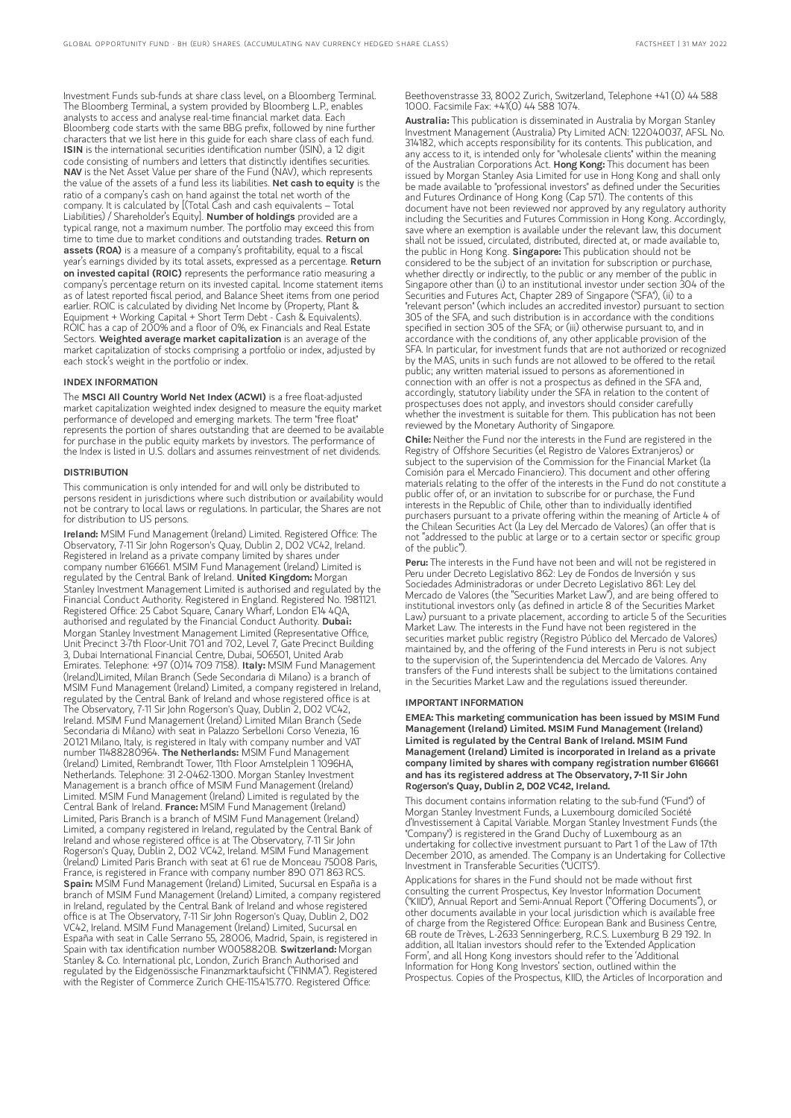Investment Funds sub-funds at share class level, on a Bloomberg Terminal. The Bloomberg Terminal, a system provided by Bloomberg L.P., enables analysts to access and analyse real-time financial market data. Each Bloomberg code starts with the same BBG prefix, followed by nine further characters that we list here in this guide for each share class of each fund. ISIN is the international securities identification number (ISIN), a 12 digit code consisting of numbers and letters that distinctly identifies securities. NAV is the Net Asset Value per share of the Fund (NAV), which represents the value of the assets of a fund less its liabilities. Net cash to equity is the ratio of a company's cash on hand against the total net worth of the company. It is calculated by [(Total Cash and cash equivalents – Total Liabilities) / Shareholder's Equity]. Number of holdings provided are a typical range, not a maximum number. The portfolio may exceed this from time to time due to market conditions and outstanding trades. **Return on** assets (ROA) is a measure of a company's profitability, equal to a fiscal year's earnings divided by its total assets, expressed as a percentage. **Return** on invested capital (ROIC) represents the performance ratio measuring a company's percentage return on its invested capital. Income statement items as of latest reported fiscal period, and Balance Sheet items from one period earlier. ROIC is calculated by dividing Net Income by (Property, Plant & Equipment + Working Capital + Short Term Debt - Cash & Equivalents). ROIC has a cap of 200% and a floor of 0%, ex Financials and Real Estate Sectors. Weighted average market capitalization is an average of the market capitalization of stocks comprising a portfolio or index, adjusted by each stock's weight in the portfolio or index.

#### INDEX INFORMATION

The MSCI All Country World Net Index (ACWI) is a free float-adjusted market capitalization weighted index designed to measure the equity market performance of developed and emerging markets. The term "free float" represents the portion of shares outstanding that are deemed to be available for purchase in the public equity markets by investors. The performance of the Index is listed in U.S. dollars and assumes reinvestment of net dividends.

#### **DISTRIBUTION**

This communication is only intended for and will only be distributed to persons resident in jurisdictions where such distribution or availability would not be contrary to local laws or regulations. In particular, the Shares are not for distribution to US persons.

Ireland: MSIM Fund Management (Ireland) Limited. Registered Office: The Observatory, 7-11 Sir John Rogerson's Quay, Dublin 2, D02 VC42, Ireland. Registered in Ireland as a private company limited by shares under company number 616661. MSIM Fund Management (Ireland) Limited is regulated by the Central Bank of Ireland. United Kingdom: Morgan Stanley Investment Management Limited is authorised and regulated by the Financial Conduct Authority. Registered in England. Registered No. 1981121. Registered Office: 25 Cabot Square, Canary Wharf, London E14 4QA, authorised and regulated by the Financial Conduct Authority. Dubai: Morgan Stanley Investment Management Limited (Representative Office, Unit Precinct 3-7th Floor-Unit 701 and 702, Level 7, Gate Precinct Building 3, Dubai International Financial Centre, Dubai, 506501, United Arab Emirates. Telephone: +97 (0)14 709 7158). Italy: MSIM Fund Management (Ireland)Limited, Milan Branch (Sede Secondaria di Milano) is a branch of MSIM Fund Management (Ireland) Limited, a company registered in Ireland, regulated by the Central Bank of Ireland and whose registered office is at The Observatory, 7-11 Sir John Rogerson's Quay, Dublin 2, D02 VC42, Ireland. MSIM Fund Management (Ireland) Limited Milan Branch (Sede Secondaria di Milano) with seat in Palazzo Serbelloni Corso Venezia, 16 20121 Milano, Italy, is registered in Italy with company number and VAT number 11488280964. The Netherlands: MSIM Fund Management (Ireland) Limited, Rembrandt Tower, 11th Floor Amstelplein 1 1096HA, Netherlands. Telephone: 31 2-0462-1300. Morgan Stanley Investment Management is a branch office of MSIM Fund Management (Ireland) Limited. MSIM Fund Management (Ireland) Limited is regulated by the Central Bank of Ireland. France: MSIM Fund Management (Ireland) Limited, Paris Branch is a branch of MSIM Fund Management (Ireland) Limited, a company registered in Ireland, regulated by the Central Bank of Ireland and whose registered office is at The Observatory, 7-11 Sir John Rogerson's Quay, Dublin 2, D02 VC42, Ireland. MSIM Fund Management (Ireland) Limited Paris Branch with seat at 61 rue de Monceau 75008 Paris, France, is registered in France with company number 890 071 863 RCS. Spain: MSIM Fund Management (Ireland) Limited, Sucursal en España is a branch of MSIM Fund Management (Ireland) Limited, a company registered in Ireland, regulated by the Central Bank of Ireland and whose registered office is at The Observatory, 7-11 Sir John Rogerson's Quay, Dublin 2, D02 VC42, Ireland. MSIM Fund Management (Ireland) Limited, Sucursal en España with seat in Calle Serrano 55, 28006, Madrid, Spain, is registered in Spain with tax identification number W0058820B. Switzerland: Morgan Stanley & Co. International plc, London, Zurich Branch Authorised and regulated by the Eidgenössische Finanzmarktaufsicht ("FINMA"). Registered with the Register of Commerce Zurich CHE-115.415.770. Registered Office:

Beethovenstrasse 33, 8002 Zurich, Switzerland, Telephone +41 (0) 44 588 1000. Facsimile Fax: +41(0) 44 588 1074.

Australia: This publication is disseminated in Australia by Morgan Stanley Investment Management (Australia) Pty Limited ACN: 122040037, AFSL No. 314182, which accepts responsibility for its contents. This publication, and any access to it, is intended only for "wholesale clients" within the meaning of the Australian Corporations Act. Hong Kong: This document has been issued by Morgan Stanley Asia Limited for use in Hong Kong and shall only be made available to "professional investors" as defined under the Securities and Futures Ordinance of Hong Kong (Cap 571). The contents of this document have not been reviewed nor approved by any regulatory authority including the Securities and Futures Commission in Hong Kong. Accordingly, save where an exemption is available under the relevant law, this document shall not be issued, circulated, distributed, directed at, or made available to, the public in Hong Kong. Singapore: This publication should not be considered to be the subject of an invitation for subscription or purchase, whether directly or indirectly, to the public or any member of the public in Singapore other than (i) to an institutional investor under section 304 of the Securities and Futures Act, Chapter 289 of Singapore ("SFA"), (ii) to a "relevant person" (which includes an accredited investor) pursuant to section 305 of the SFA, and such distribution is in accordance with the conditions specified in section 305 of the SFA; or (iii) otherwise pursuant to, and in accordance with the conditions of, any other applicable provision of the SFA. In particular, for investment funds that are not authorized or recognized by the MAS, units in such funds are not allowed to be offered to the retail public; any written material issued to persons as aforementioned in connection with an offer is not a prospectus as defined in the SFA and, accordingly, statutory liability under the SFA in relation to the content of prospectuses does not apply, and investors should consider carefully whether the investment is suitable for them. This publication has not been reviewed by the Monetary Authority of Singapore.

Chile: Neither the Fund nor the interests in the Fund are registered in the Registry of Offshore Securities (el Registro de Valores Extranjeros) or subject to the supervision of the Commission for the Financial Market (la Comisión para el Mercado Financiero). This document and other offering materials relating to the offer of the interests in the Fund do not constitute a public offer of, or an invitation to subscribe for or purchase, the Fund interests in the Republic of Chile, other than to individually identified purchasers pursuant to a private offering within the meaning of Article 4 of the Chilean Securities Act (la Ley del Mercado de Valores) (an offer that is not "addressed to the public at large or to a certain sector or specific group of the public").

Peru: The interests in the Fund have not been and will not be registered in Peru under Decreto Legislativo 862: Ley de Fondos de Inversión y sus Sociedades Administradoras or under Decreto Legislativo 861: Ley del Mercado de Valores (the "Securities Market Law"), and are being offered to institutional investors only (as defined in article 8 of the Securities Market Law) pursuant to a private placement, according to article 5 of the Securities Market Law. The interests in the Fund have not been registered in the securities market public registry (Registro Público del Mercado de Valores) maintained by, and the offering of the Fund interests in Peru is not subject to the supervision of, the Superintendencia del Mercado de Valores. Any transfers of the Fund interests shall be subject to the limitations contained in the Securities Market Law and the regulations issued thereunder.

#### IMPORTANT INFORMATION

EMEA: This marketing communication has been issued by MSIM Fund Management (Ireland) Limited. MSIM Fund Management (Ireland) Limited is regulated by the Central Bank of Ireland. MSIM Fund Management (Ireland) Limited is incorporated in Ireland as a private company limited by shares with company registration number 616661 and has its registered address at The Observatory, 7-11 Sir John Rogerson's Quay, Dublin 2, D02 VC42, Ireland.

This document contains information relating to the sub-fund ("Fund") of Morgan Stanley Investment Funds, a Luxembourg domiciled Société d'Investissement à Capital Variable. Morgan Stanley Investment Funds (the "Company") is registered in the Grand Duchy of Luxembourg as an undertaking for collective investment pursuant to Part 1 of the Law of 17th December 2010, as amended. The Company is an Undertaking for Collective Investment in Transferable Securities ("UCITS").

Applications for shares in the Fund should not be made without first consulting the current Prospectus, Key Investor Information Document ("KIID"), Annual Report and Semi-Annual Report ("Offering Documents"), or other documents available in your local jurisdiction which is available free of charge from the Registered Office: European Bank and Business Centre, 6B route de Trèves, L-2633 Senningerberg, R.C.S. Luxemburg B 29 192. In addition, all Italian investors should refer to the 'Extended Application Form', and all Hong Kong investors should refer to the 'Additional Information for Hong Kong Investors' section, outlined within the Prospectus. Copies of the Prospectus, KIID, the Articles of Incorporation and